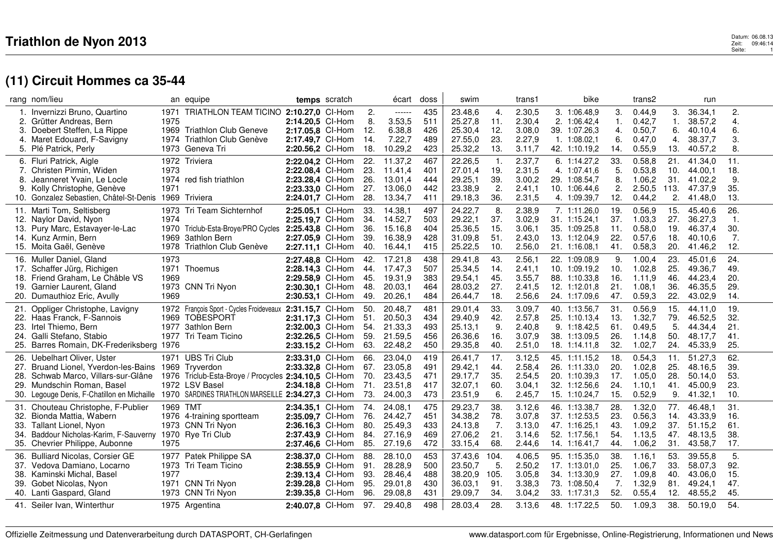|     | rang nom/lieu                                                                                  |          | an equipe                                                 |                  | temps scratch |     | écart       | doss | swim    |                | trans1 | bike          |     | trans2 |      | run     |                  |
|-----|------------------------------------------------------------------------------------------------|----------|-----------------------------------------------------------|------------------|---------------|-----|-------------|------|---------|----------------|--------|---------------|-----|--------|------|---------|------------------|
|     | Invernizzi Bruno, Quartino                                                                     | 1971     | TRIATHLON TEAM TICINO 2:10.27,0 CI-Hom                    |                  |               | 2.  | ------      | 435  | 23.48,6 | 4.             | 2.30,5 | 3. 1:06.48.9  | 3.  | 0.44,9 | 3.   | 36.34,1 | $\overline{2}$ . |
|     | 2. Grütter Andreas, Bern                                                                       | 1975     |                                                           | 2:14.20,5 CI-Hom |               | 8.  | 3.53,5      | 511  | 25.27,8 | 11.            | 2.30,4 | 2. 1:06.42,4  | 1.  | 0.42,7 | 1.   | 38.57,2 | 4.               |
|     | 3. Doebert Steffen, La Rippe                                                                   |          | 1969 Triathlon Club Geneve                                | 2:17.05.8 CI-Hom |               | 12. | 6.38,8      | 426  | 25.30,4 | 12.            | 3.08,0 | 39. 1:07.26,3 | 4.  | 0.50,7 | 6.   | 40.10,4 | 6.               |
| 4.  | Maret Edouard, F-Savigny                                                                       | 1974     | Triathlon Club Genève                                     | 2:17.49,7 Cl-Hom |               | 14. | 7.22,7      | 489  | 27.55,0 | 23.            | 2.27,9 | 1.1:08.02,1   | 6.  | 0.47,0 | 4.   | 38.37,7 | 3.               |
|     | 5. Plé Patrick, Perly                                                                          |          | 1973 Geneva Tri                                           | 2:20.56,2 Cl-Hom |               | 18. | 10.29,2     | 423  | 25.32,2 | 13.            | 3.11,7 | 42. 1:10.19,2 | 14. | 0.55,9 | 13.  | 40.57,2 | 8.               |
|     | 6. Fluri Patrick, Aigle                                                                        |          | 1972 Triviera                                             | 2:22.04,2 CI-Hom |               | 22. | 11.37,2     | 467  | 22.26,5 | $\mathbf{1}$ . | 2.37,7 | 6. 1:14.27,2  | 33. | 0.58,8 | 21.  | 41.34,0 | 11.              |
|     | 7. Christen Pirmin, Widen                                                                      | 1973     |                                                           | 2:22.08,4 Cl-Hom |               | 23. | 11.41.4     | 401  | 27.01,4 | 19.            | 2.31,5 | 4. 1:07.41.6  | 5.  | 0.53,8 | 10.  | 44.00.1 | 18.              |
| 8.  | Jeanneret Yvain, Le Locle                                                                      |          | 1974 red fish triathlon                                   | 2:23.28,4 Cl-Hom |               | 26. | 13.01,4     | 444  | 29.25,1 | 39.            | 3.00,2 | 29. 1:08.54,7 | 8.  | 1.06,2 | 31.  | 41.02,2 | 9.               |
|     | 9. Kolly Christophe, Genève                                                                    | 1971     |                                                           | 2:23.33,0 Cl-Hom |               | 27. | 13.06,0     | 442  | 23.38,9 | 2.             | 2.41,1 | 10. 1:06.44,6 | 2.  | 2.50,5 | 113. | 47.37,9 | 35.              |
|     | Gonzalez Sebastien, Châtel-St-Denis                                                            |          | 1969 Triviera                                             | 2:24.01,7 Cl-Hom |               | 28. | 13.34,7     | 411  | 29.18,3 | 36.            | 2.31,5 | 4. 1:09.39,7  | 12. | 0.44,2 | 2.   | 41.48,0 | 13.              |
|     | 11. Marti Tom, Seltisberg                                                                      | 1973     | Tri Team Sichternhof                                      | 2:25.05.1 CI-Hom |               | 33. | 14.38,1     | 497  | 24.22,7 | 8.             | 2.38,9 | 7. 1:11.26,0  | 19. | 0.56,9 | 15.  | 45.40,6 | 26.              |
| 12. | Naylor David, Nyon                                                                             | 1974     |                                                           | 2:25.19,7 CI-Hom |               | 34. | 14.52,7     | 503  | 29.22,1 | 37.            | 3.02,9 | 31. 1:15.24,1 | 37. | 1.03,3 | 27.  | 36.27,3 | $\mathbf{1}$ .   |
| 13. | Pury Marc, Estavayer-le-Lac                                                                    | 1970     | Triclub-Esta-Broye/PRO Cycles                             | 2:25.43,8 CI-Hom |               | 36. | 15.16,8     | 404  | 25.36,5 | 15.            | 3.06,1 | 35. 1:09.25,8 | 11. | 0.58,0 | 19.  | 46.37,4 | 30.              |
|     | 14. Kunz Armin, Bern                                                                           | 1969     | 3athlon Bern                                              | 2:27.05.9 CI-Hom |               | 39. | 16.38,9     | 428  | 31.09,8 | 51.            | 2.43,0 | 13. 1:12.04,9 | 22. | 0.57,6 | 18.  | 40.10.6 | 7.               |
|     | 15. Moita Gaël, Genève                                                                         | 1978     | Triathlon Club Genève                                     | 2:27.11,1 Cl-Hom |               | 40. | 16.44,1     | 415  | 25.22,5 | 10.            | 2.56,0 | 21. 1:16.08.1 | 41. | 0.58,3 | 20.  | 41.46,2 | 12.              |
|     | 16. Muller Daniel, Gland                                                                       | 1973     |                                                           | 2:27.48,8 Cl-Hom |               | 42. | 17.21,8     | 438  | 29.41,8 | 43.            | 2.56,1 | 22. 1:09.08.9 | 9.  | 1.00,4 | 23.  | 45.01,6 | 24.              |
| 17. | Schaffer Jürg, Richigen                                                                        |          | 1971 Thoemus                                              | 2:28.14,3 CI-Hom |               | 44. | 17.47,3     | 507  | 25.34,5 | 14.            | 2.41,1 | 10. 1:09.19,2 | 10. | 1.02,8 | 25.  | 49.36,7 | 49.              |
| 18. | Friend Graham, Le Châble VS                                                                    | 1969     |                                                           | 2:29.58,9 Cl-Hom |               | 45. | 19.31.9     | 383  | 29.54,1 | 45.            | 3.55.7 | 88. 1:10.33.8 | 16. | 1.11.9 | 46.  | 44.23.4 | 20.              |
| 19. | Garnier Laurent, Gland                                                                         |          | 1973 CNN Tri Nyon                                         | 2:30.30,1 Cl-Hom |               | 48. | 20.03,1     | 464  | 28.03,2 | 27.            | 2.41,5 | 12. 1:12.01,8 | 21. | 1.08,1 | 36.  | 46.35,5 | 29.              |
| 20. | Dumauthioz Eric, Avully                                                                        | 1969     |                                                           | 2:30.53,1 Cl-Hom |               | 49. | 20.26.1     | 484  | 26.44,7 | 18.            | 2.56,6 | 24. 1:17.09.6 | 47. | 0.59,3 | 22.  | 43.02,9 | 14.              |
|     |                                                                                                |          |                                                           |                  |               |     |             |      |         |                |        |               |     |        |      |         |                  |
| 21. | Oppliger Christophe, Lavigny                                                                   |          | 1972 François Sport - Cycles Froideveaux 2:31.15,7 CI-Hom |                  |               | 50. | 20.48,7     | 481  | 29.01,4 | 33.            | 3.09,7 | 40. 1:13.56,7 | 31. | 0.56,9 | 15.  | 44.11,0 | 19.              |
|     | 22. Haas Franck, F-Sannois                                                                     |          | 1969 TOBESPORT                                            | 2:31.17,3 Cl-Hom |               | 51. | 20.50,3     | 434  | 29.40,9 | 42.            | 2.57,8 | 25. 1:10.13.4 | 13. | 1.32,7 | 79.  | 46.52,5 | 32.              |
| 23. | Irtel Thiemo, Bern                                                                             |          | 1977 3athlon Bern                                         | 2:32.00,3 Cl-Hom |               | 54. | 21.33,3     | 493  | 25.13,1 | 9.             | 2.40,8 | 9. 1:18.42,5  | 61. | 0.49,5 | 5.   | 44.34,4 | 21.              |
| 24. | Galli Stefano, Stabio                                                                          |          | 1977 Tri Team Ticino                                      | 2:32.26,5 Cl-Hom |               | 59. | 21.59,5     | 456  | 26.36,6 | 16.            | 3.07,9 | 38. 1:13.09.5 | 26. | 1.14,8 | 50.  | 48.17,7 | 41.              |
|     | 25. Barres Romain, DK-Frederiksberg 1976                                                       |          |                                                           | 2:33.15,2 Cl-Hom |               | 63. | 22.48,2     | 450  | 29.35,8 | 40.            | 2.51,0 | 18. 1:14.11,8 | 32. | 1.02,7 | 24.  | 45.33,9 | 25.              |
| 26. | Uebelhart Oliver, Uster                                                                        |          | 1971 UBS Tri Club                                         | 2:33.31,0 Cl-Hom |               | 66. | 23.04,0     | 419  | 26.41,7 | 17.            | 3.12,5 | 45. 1:11.15,2 | 18. | 0.54,3 | 11.  | 51.27,3 | 62.              |
|     | 27. Bruand Lionel, Yverdon-les-Bains 1969 Tryverdon                                            |          |                                                           | 2:33.32,8 Cl-Hom |               | 67. | 23.05,8     | 491  | 29.42,1 | 44.            | 2.58,4 | 26. 1:11.33,0 | 20. | 1.02,8 | 25.  | 48.16,5 | 39.              |
|     | Schwab Marco, Villars-sur-Glâne                                                                |          | 1976 Triclub-Esta-Broye / Procycles 2:34.10,5 CI-Hom      |                  |               | 70. | 23.43,5     | 471  | 29.17,7 | 35.            | 2.54,5 | 20. 1:10.39.3 | 17. | 1.05,0 | 28.  | 50.14,0 | 53.              |
| 29. | Mundschin Roman, Basel                                                                         |          | 1972 LSV Basel                                            | 2:34.18.8 CI-Hom |               | 71. | 23.51,8     | 417  | 32.07,1 | 60.            | 3.04,1 | 32. 1:12.56,6 | 24. | 1.10.1 | 41.  | 45.00.9 | 23.              |
|     | 30. Legouge Denis, F-Chatillon en Michaille 1970 SARDINES TRIATHLON MARSEILLE 2:34.27,3 CI-Hom |          |                                                           |                  |               | 73. | 24.00,3     | 473  | 23.51,9 | 6.             | 2.45,7 | 15. 1:10.24,7 | 15. | 0.52,9 | 9.   | 41.32,1 | 10.              |
|     | 31. Chouteau Christophe, F-Publier                                                             | 1969 TMT |                                                           | 2:34.35,1 Cl-Hom |               | 74. | 24.08,1     | 475  | 29.23,7 | 38.            | 3.12,6 | 46. 1:13.38,7 | 28. | 1.32,0 | 77.  | 46.48,1 | 31.              |
| 32. | Bionda Mattia, Wabern                                                                          |          | 1976 4-training sportteam                                 | 2:35.09.7 CI-Hom |               | 76. | 24.42,7     | 451  | 34.38,2 | 78.            | 3.07,8 | 37. 1:12.53,5 | 23. | 0.56,3 | 14.  | 43.33,9 | 16.              |
| 33. | <b>Tallant Lionel, Nyon</b>                                                                    |          | 1973 CNN Tri Nyon                                         | 2:36.16,3 Cl-Hom |               | 80. | 25.49,3     | 433  | 24.13,8 | 7.             | 3.13,0 | 47. 1:16.25,1 | 43. | 1.09.2 | 37.  | 51.15.2 | 61.              |
| 34. | Baddour Nicholas-Karim, F-Sauverny 1970 Rye Tri Club                                           |          |                                                           | 2:37.43,9 Cl-Hom |               | 84. | 27.16,9     | 469  | 27.06,2 | 21.            | 3.14,6 | 52. 1:17.56.1 | 54. | 1.13,5 | 47.  | 48.13,5 | 38.              |
|     | 35. Chevrier Philippe, Aubonne                                                                 | 1975     |                                                           | 2:37.46,6 CI-Hom |               | 85. | 27.19,6     | 472  | 33.15,4 | 68.            | 2.44,6 | 14. 1:16.41,7 | 44. | 1.06,2 | 31.  | 43.58,7 | 17.              |
|     | 36. Bulliard Nicolas, Corsier GE                                                               |          | 1977 Patek Philippe SA                                    | 2:38.37.0 CI-Hom |               | 88. | 28.10,0     | 453  | 37.43,6 | 104.           | 4.06,5 | 95. 1:15.35,0 | 38. | 1.16,1 | 53.  | 39.55,8 | 5.               |
| 37. | Vedova Damiano, Locarno                                                                        | 1973     | Tri Team Ticino                                           | 2:38.55,9 CI-Hom |               | 91. | 28.28,9     | 500  | 23.50,7 | 5.             | 2.50,2 | 17. 1:13.01.0 | 25. | 1.06,7 | 33.  | 58.07,3 | 92.              |
| 38. | Kaminski Michal, Basel                                                                         | 1977     |                                                           | 2:39.13,4 Cl-Hom |               | 93. | 28.46,4     | 488  | 38.20,9 | 105.           | 3.05,8 | 34. 1:13.30,9 | 27. | 1.09,8 | 40.  | 43.06,0 | 15.              |
| 39. | Gobet Nicolas, Nyon                                                                            |          | 1971 CNN Tri Nyon                                         | 2:39.28,8 CI-Hom |               | 95. | 29.01,8     | 430  | 36.03,1 | 91.            | 3.38,3 | 73. 1:08.50,4 | 7.  | 1.32,9 | 81.  | 49.24,1 | 47.              |
|     | 40. Lanti Gaspard, Gland                                                                       |          | 1973 CNN Tri Nyon                                         | 2:39.35,8 Cl-Hom |               | 96. | 29.08,8     | 431  | 29.09,7 | 34.            | 3.04,2 | 33. 1:17.31,3 | 52. | 0.55,4 | 12.  | 48.55,2 | 45.              |
|     | 41. Seiler Ivan, Winterthur                                                                    |          | 1975 Argentina                                            | 2:40.07,8 CI-Hom |               |     | 97. 29.40,8 | 498  | 28.03,4 | 28.            | 3.13,6 | 48. 1:17.22,5 | 50. | 1.09,3 | 38.  | 50.19,0 | 54.              |
|     |                                                                                                |          |                                                           |                  |               |     |             |      |         |                |        |               |     |        |      |         |                  |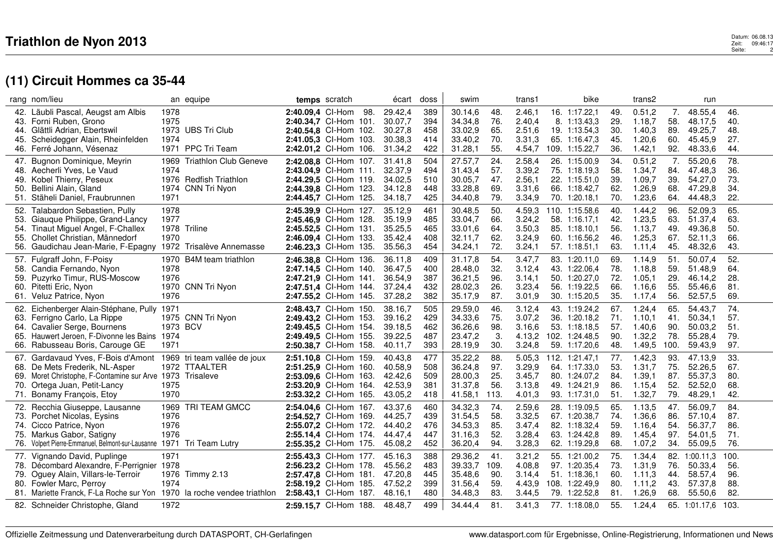### Datum: 06.08.13<br>Zeit: 09:46:17 Datum: 06.08.13<br>Seite: 2 Datum: 06.08.13<br>Zeit: 09:46:17<br>Seite: 2

|     | rang nom/lieu                                                                                     |          | an equipe                    |                                                | temps scratch |     | écart   | doss | swim               |      | trans1           | bike           |            | trans2           |            | run           |      |  |
|-----|---------------------------------------------------------------------------------------------------|----------|------------------------------|------------------------------------------------|---------------|-----|---------|------|--------------------|------|------------------|----------------|------------|------------------|------------|---------------|------|--|
|     | 42. Läubli Pascal, Aeugst am Albis                                                                | 1978     |                              | 2:40.09.4 Cl-Hom                               |               | 98. | 29.42,4 | 389  | 30.14,6            | 48.  | 2.46.1           | 16. 1:17.22,1  | 49.        | 0.51,2           | 7.         | 48.55,4       | 46.  |  |
|     | 43. Forni Ruben, Grono                                                                            | 1975     |                              | 2:40.34,7 Cl-Hom 101.                          |               |     | 30.07,7 | 394  | 34.34,8            | 76.  | 2.40,4           | 8. 1:13.43,3   | 29.        | 1.18,7           | 58.        | 48.17,5       | 40.  |  |
|     | 44. Glättli Adrian, Ebertswil                                                                     |          | 1973 UBS Tri Club            | 2:40.54,8 Cl-Hom 102.                          |               |     | 30.27,8 | 458  | 33.02,9            | 65.  | 2.51,6           | 19. 1:13.54,3  | 30.        | 1.40,3           | 89.        | 49.25,7       | 48.  |  |
|     | 45. Scheidegger Alain, Rheinfelden                                                                | 1974     |                              | 2:41.05,3 Cl-Hom 103.                          |               |     | 30.38,3 | 414  | 33.40,2            | 70.  | 3.31.3           | 65. 1:16.47.3  | 45.        | 1.20,6           | 60.        | 45.45.9       | 27.  |  |
|     | 46. Ferré Johann, Vésenaz                                                                         |          | 1971 PPC Tri Team            | 2:42.01,2 Cl-Hom 106.                          |               |     | 31.34,2 | 422  | 31.28,1            | 55.  | 4.54,7           | 109. 1:15.22,7 | 36.        | 1.42,1           | 92.        | 48.33,6       | 44.  |  |
|     | 47. Bugnon Dominique, Meyrin                                                                      | 1969     | <b>Triathlon Club Geneve</b> | 2:42.08.8 Cl-Hom 107.                          |               |     | 31.41,8 | 504  | 27.57,7            | 24.  | 2.58,4           | 26. 1:15.00,9  | 34.        | 0.51,2           | 7.         | 55.20,6       | 78.  |  |
|     | 48. Aecherli Yves, Le Vaud                                                                        | 1974     |                              | 2:43.04,9 Cl-Hom 111.                          |               |     | 32.37,9 | 494  | 31.43,4            | 57.  | 3.39,2           | 75. 1:18.19,3  | 58.        | 1.34,7           | 84.        | 47.48,3       | 36.  |  |
| 49. | Kobel Thierry, Peseux                                                                             |          | 1976 Redfish Triathlon       | 2:44.29,5 Cl-Hom 119.                          |               |     | 34.02,5 | 510  | 30.05,7            | 47.  | 2.56,1           | 22. 1:15.51,0  | 39.        | 1.09,7           | 39.        | 54.27,0       | 73.  |  |
|     | 50. Bellini Alain, Gland                                                                          | 1974     | CNN Tri Nyon                 | 2:44.39,8 Cl-Hom 123.                          |               |     | 34.12,8 | 448  | 33.28,8            | 69.  | 3.31,6           | 66. 1:18.42,7  | 62.        | 1.26,9           | 68.        | 47.29,8       | 34.  |  |
|     | 51. Stäheli Daniel, Fraubrunnen                                                                   | 1971     |                              | 2:44.45,7 Cl-Hom 125.                          |               |     | 34.18,7 | 425  | 34.40,8            | 79.  | 3.34,9           | 70. 1:20.18,1  | 70.        | 1.23,6           | 64.        | 44.48,3       | 22.  |  |
|     | 52. Talabardon Sebastien, Pully                                                                   | 1978     |                              | 2:45.39.9 Cl-Hom 127.                          |               |     | 35.12,9 | 461  | 30.48,5            | 50.  | 4.59,3           | 110. 1:15.58,6 | 40.        | 1.44,2           | 96.        | 52.09,3       | 65.  |  |
| 53. | Giauque Philippe, Grand-Lancy                                                                     | 1977     |                              | 2:45.46,9 Cl-Hom 128.                          |               |     | 35.19,9 | 485  | 33.04,7            | 66.  | 3.24,2           | 58. 1:16.17,1  | 42.        | 1.23,5           | 63.        | 51.37,4       | 63.  |  |
|     | 54. Tinaut Miguel Angel, F-Challex                                                                | 1978     | Triline                      | 2:45.52,5 Cl-Hom 131.                          |               |     | 35.25,5 | 465  | 33.01,6            | 64.  | 3.50,3           | 85. 1:18.10.1  | 56.        | 1.13,7           | 49.        | 49.36,8       | 50.  |  |
| 55. | Chollet Christian, Männedorf                                                                      | 1970     |                              | 2:46.09.4 CI-Hom 133.                          |               |     | 35.42,4 | 408  | 32.11.7            | 62.  | 3.24,9           | 60. 1:16.56.2  | 46.        | 1.25,3           | 67.        | 52.11,3       | 66.  |  |
|     | 56. Gaudichau Jean-Marie, F-Epagny 1972                                                           |          | Trisalève Annemasse          | 2:46.23,3 Cl-Hom 135.                          |               |     | 35.56,3 | 454  | 34.24,1            | 72.  | 3.24,1           | 57. 1:18.51,1  | 63.        | 1.11,4           | 45.        | 48.32,6       | 43.  |  |
|     | 57. Fulgraff John, F-Poisy                                                                        |          | 1970 B4M team triathlon      | 2:46.38.8 Cl-Hom 136.                          |               |     | 36.11,8 | 409  | 31.17,8            | 54.  | 3.47,7           | 83. 1:20.11,0  | 69.        | 1.14,9           | 51.        | 50.07,4       | 52.  |  |
| 58. | Candia Fernando, Nyon                                                                             | 1978     |                              | 2:47.14,5 Cl-Hom 140.                          |               |     | 36.47,5 | 400  | 28.48,0            | 32.  | 3.12,4           | 43. 1:22.06,4  | 78.        | 1.18,8           | 59.        | 51.48,9       | 64.  |  |
|     | 59. Puzyrko Timur, RUS-Moscow                                                                     | 1976     |                              | 2:47.21.9 Cl-Hom 141.                          |               |     | 36.54,9 | 387  | 36.21,5            | 96.  | 3.14,1           | 50. 1:20.27,0  | 72.        | 1.05,1           | 29.        | 46.14,2       | 28.  |  |
|     | 60. Pitetti Eric, Nyon                                                                            |          | 1970 CNN Tri Nyon            | 2:47.51,4 Cl-Hom 144.                          |               |     | 37.24,4 | 432  | 28.02,3            | 26.  | 3.23,4           | 56. 1:19.22,5  | 66.        | 1.16,6           | 55.        | 55.46,6       | 81.  |  |
|     | 61. Veluz Patrice, Nyon                                                                           | 1976     |                              | 2:47.55,2 Cl-Hom 145.                          |               |     | 37.28,2 | 382  | 35.17,9            | 87.  | 3.01,9           | 30. 1:15.20,5  | 35.        | 1.17,4           | 56.        | 52.57,5       | 69.  |  |
|     | 62. Eichenberger Alain-Stéphane, Pully 1971                                                       |          |                              | 2:48.43.7 Cl-Hom 150.                          |               |     | 38.16,7 | 505  | 29.59,0            | 46.  | 3.12,4           | 43. 1:19.24,2  | 67.        | 1.24,4           | 65.        | 54.43.7       | 74.  |  |
|     | 63. Ferrigno Carlo, La Rippe                                                                      |          | 1975 CNN Tri Nyon            | 2:49.43,2 Cl-Hom 153.                          |               |     | 39.16,2 | 429  | 34.33,6            | 75.  | 3.07,2           | 36. 1:20.18,2  | 71.        | 1.10,1           | 41.        | 50.34,1       | 57.  |  |
|     | 64. Cavalier Serge, Bournens                                                                      | 1973 BCV |                              | 2:49.45,5 Cl-Hom 154.                          |               |     | 39.18,5 | 462  | 36.26,6            | 98.  | 3.16,6           | 53. 1:18.18.5  | 57.        | 1.40,6           | 90.        | 50.03,2       | 51.  |  |
|     | 65. Hauwert Jeroen, F-Divonne les Bains 1974                                                      |          |                              | 2:49.49.5 Cl-Hom 155.                          |               |     | 39.22,5 | 487  | 23.47,2            | 3.   | 4.13,2           | 102. 1:24.48,5 | 90.        | 1.32,2           | 78.        | 55.28,4       | 79.  |  |
|     | 66. Rabusseau Boris, Carouge GE                                                                   | 1971     |                              | 2:50.38,7 Cl-Hom 158.                          |               |     | 40.11,7 | 393  | 28.19,9            | 30.  | 3.24,8           | 59. 1:17.20,6  | 48.        | 1.49,5           | 100.       | 59.43,9       | 97.  |  |
|     |                                                                                                   |          |                              |                                                |               |     | 40.43.8 | 477  |                    | 88.  |                  | 112. 1:21.47.1 |            |                  |            | 47.13,9       | 33.  |  |
|     | 67. Gardavaud Yves, F-Bois d'Amont 1969 tri team vallée de joux<br>68. De Mets Frederik, NL-Asper |          | 1972 TTAALTER                | 2:51.10,8 Cl-Hom 159.<br>2:51.25,9 Cl-Hom 160. |               |     | 40.58,9 | 508  | 35.22,2<br>36.24,8 | 97.  | 5.05,3<br>3.29,9 | 64. 1:17.33,0  | 77.<br>53. | 1.42,3<br>1.31,7 | 93.<br>75. | 52.26,5       | 67.  |  |
|     | 69. Moret Christophe, F-Contamine sur Arve 1973 Trisaleve                                         |          |                              | 2:53.09.6 CI-Hom 163.                          |               |     | 42.42,6 | 509  | 28.00,3            | 25.  | 3.45,7           | 80. 1:24.07.2  | 84.        | 1.39,1           | 87.        | 55.37,3       | 80.  |  |
| 70. |                                                                                                   | 1975     |                              | 2:53.20,9 Cl-Hom 164.                          |               |     | 42.53,9 | 381  | 31.37,8            | 56.  | 3.13,8           | 49. 1:24.21,9  | 86.        | 1.15,4           | 52.        | 52.52,0       | 68.  |  |
|     | Ortega Juan, Petit-Lancy<br>71. Bonamy François, Etoy                                             | 1970     |                              | 2:53.32,2 Cl-Hom 165.                          |               |     | 43.05,2 | 418  | 41.58,1            | 113. | 4.01,3           | 93. 1:17.31,0  | 51.        | 1.32,7           | 79.        | 48.29,1       | 42.  |  |
|     |                                                                                                   |          |                              |                                                |               |     |         |      |                    |      |                  |                |            |                  |            |               |      |  |
|     | 72. Recchia Giuseppe, Lausanne                                                                    | 1969     | <b>TRI TEAM GMCC</b>         | 2:54.04,6 Cl-Hom 167.                          |               |     | 43.37.6 | 460  | 34.32,3            | 74.  | 2.59,6           | 28. 1:19.09.5  | 65.        | 1.13,5           | 47.        | 56.09.7       | 84.  |  |
|     | 73. Porchet Nicolas, Eysins                                                                       | 1976     |                              | 2:54.52,7 Cl-Hom 169.                          |               |     | 44.25,7 | 439  | 31.54,5            | 58.  | 3.32,5           | 67. 1:20.38,7  | 74.        | 1.36,6           | 86.        | 57.10,4       | 87.  |  |
|     | 74. Cicco Patrice, Nyon                                                                           | 1976     |                              | 2:55.07.2 Cl-Hom 172.                          |               |     | 44.40.2 | 476  | 34.53,3            | 85.  | 3.47,4           | 82. 1:18.32,4  | 59.        | 1.16.4           | 54.        | 56.37,7       | 86.  |  |
|     | 75. Markus Gabor, Satigny                                                                         | 1976     |                              | 2:55.14,4 Cl-Hom 174.                          |               |     | 44.47,4 | 447  | 31.16,3            | 52.  | 3.28,4           | 63. 1:24.42,8  | 89.        | 1.45,4           | 97.        | 54.01,5       | 71.  |  |
|     | 76. Volpert Pierre-Emmanuel, Belmont-sur-Lausanne 1971                                            |          | Tri Team Lutry               | 2:55.35,2 Cl-Hom 175.                          |               |     | 45.08,2 | 452  | 36.20,4            | 94.  | 3.28,3           | 62. 1:19.29,8  | 68.        | 1.07,2           | 34.        | 55.09,5       | 76.  |  |
|     | 77. Vignando David, Puplinge                                                                      | 1971     |                              | 2:55.43.3 Cl-Hom 177.                          |               |     | 45.16.3 | 388  | 29.36,2            | 41.  | 3.21,2           | 55. 1:21.00,2  | 75.        | 1.34,4           |            | 82. 1:00.11,3 | 100. |  |
|     | 78. Décombard Alexandre, F-Perrignier 1978                                                        |          |                              | 2:56.23,2 Cl-Hom 178.                          |               |     | 45.56,2 | 483  | 39.33,7            | 109. | 4.08,8           | 97. 1:20.35,4  | 73.        | 1.31,9           | 76.        | 50.33,4       | 56.  |  |
| 79. | Oguey Alain, Villars-le-Terroir                                                                   |          | 1976 Timmy 2.13              | 2:57.47,8 Cl-Hom 181.                          |               |     | 47.20,8 | 445  | 35.48,6            | 90.  | 3.14,4           | 51. 1:18.36,1  | 60.        | 1.11,3           | 44.        | 58.57,4       | 96.  |  |
|     | 80. Fowler Marc, Perroy                                                                           | 1974     |                              | 2:58.19,2 Cl-Hom 185.                          |               |     | 47.52,2 | 399  | 31.56,4            | 59.  | 4.43,9           | 108. 1:22.49.9 | 80.        | 1.11,2           | 43.        | 57.37,8       | 88.  |  |
|     | 81. Mariette Franck, F-La Roche sur Yon 1970 la roche vendee triathlon                            |          |                              | 2:58.43,1 Cl-Hom 187.                          |               |     | 48.16,1 | 480  | 34.48,3            | 83.  | 3.44,5           | 79. 1:22.52,8  | 81.        | 1.26,9           | 68.        | 55.50,6       | 82.  |  |
|     | 82. Schneider Christophe, Gland                                                                   | 1972     |                              | 2:59.15,7 Cl-Hom 188.                          |               |     | 48.48,7 | 499  | 34.44,4            | 81.  | 3.41,3           | 77. 1:18.08,0  | 55.        | 1.24,4           |            | 65. 1:01.17.6 | 103. |  |
|     |                                                                                                   |          |                              |                                                |               |     |         |      |                    |      |                  |                |            |                  |            |               |      |  |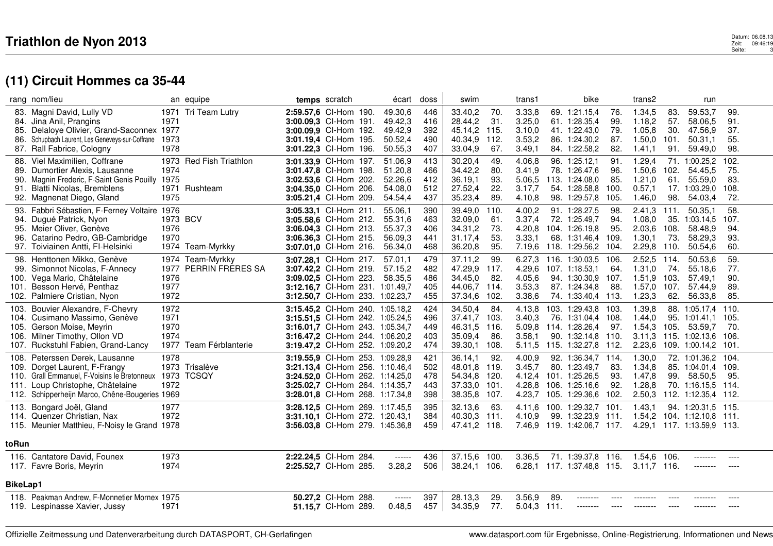### Datum: 06.08.13<br>Zeit: 09:46:19<br>Seite: 3 Datum: 06.08.13<br>2eit: 09:46:19<br>Seite: 3

|                          | rang nom/lieu                                                                                                                                                                                         |                                      | an equipe                             |                                                                                                                                                                             | temps scratch                              | écart                                               | doss                            | swim                                                                    |                                 | trans1                                         |     | bike                                                                                            |                                   | trans2                                                |                                  | run                                                                                                       |                                      |  |
|--------------------------|-------------------------------------------------------------------------------------------------------------------------------------------------------------------------------------------------------|--------------------------------------|---------------------------------------|-----------------------------------------------------------------------------------------------------------------------------------------------------------------------------|--------------------------------------------|-----------------------------------------------------|---------------------------------|-------------------------------------------------------------------------|---------------------------------|------------------------------------------------|-----|-------------------------------------------------------------------------------------------------|-----------------------------------|-------------------------------------------------------|----------------------------------|-----------------------------------------------------------------------------------------------------------|--------------------------------------|--|
| 85.<br>86.               | 83. Magni David, Lully VD<br>84. Jina Anil, Prangins<br>Delaloye Olivier, Grand-Saconnex 1977<br>Schupbach Laurent, Les Geneveys-sur-Coffrane<br>87. Rall Fabrice, Cologny                            | 1971<br>1973<br>1978                 | 1971 Tri Team Lutry                   | 2:59.57,6 Cl-Hom 190.<br>3:00.09.3 CI-Hom 191.<br>3:00.09,9 Cl-Hom 192.<br>3:01.19,4 Cl-Hom 195.<br>3:01.22,3 Cl-Hom 196.                                                   |                                            | 49.30,6<br>49.42.3<br>49.42,9<br>50.52,4<br>50.55,3 | 446<br>416<br>392<br>490<br>407 | 33.40,2<br>28.44,2<br>45.14,2 115.<br>40.34,9 112.<br>33.04,9           | 70.<br>31.<br>67.               | 3.33,8<br>3.25,0<br>3.10,0<br>3.53,2<br>3.49,1 |     | 69. 1:21.15,4<br>61. 1:28.35.4<br>41. 1:22.43,0<br>86. 1:24.30.2<br>84. 1:22.58,2               | 76.<br>99.<br>79.<br>87.<br>82.   | 1.34,5<br>1.18.2<br>1.05,8<br>1.50.0<br>1.41,1        | 83.<br>57.<br>30.<br>101.<br>91. | 59.53,7<br>58.06.5<br>47.56,9<br>50.31.1<br>59.49,0                                                       | 99.<br>91.<br>37.<br>55.<br>98.      |  |
| 88.<br>90.               | Viel Maximilien, Coffrane<br>89. Dumortier Alexis, Lausanne<br>Magnin Frederic, F-Saint Genis Pouilly 1975<br>91. Blatti Nicolas, Bremblens<br>92. Magnenat Diego, Gland                              | 1973<br>1974<br>1971<br>1975         | <b>Red Fish Triathlon</b><br>Rushteam | 3:01.33,9 Cl-Hom 197.<br>3:01.47,8 Cl-Hom 198.<br>3:02.53,6 Cl-Hom 202.<br>3:04.35,0 Cl-Hom 206.<br>3:05.21,4 Cl-Hom 209.                                                   |                                            | 51.06,9<br>51.20,8<br>52.26,6<br>54.08,0<br>54.54,4 | 413<br>466<br>412<br>512<br>437 | 30.20,4<br>34.42,2<br>36.19,1<br>27.52,4<br>35.23,4                     | 49.<br>80.<br>93.<br>22.<br>89. | 4.06,8<br>3.41,9<br>5.06,5<br>3.17,7<br>4.10,8 |     | 96. 1:25.12,1<br>78. 1:26.47,6<br>113. 1:24.08,0<br>54. 1:28.58.8<br>98. 1:29.57,8              | 91.<br>96.<br>85.<br>100.<br>105. | 1.29,4<br>1.50,6<br>1.21,0<br>0.57,1<br>1.46,0        | 71.<br>102.<br>61.<br>98.        | 1:00.25.2<br>54.45,5<br>55.59.0<br>17. 1:03.29.0<br>54.03,4                                               | 102.<br>75.<br>83.<br>108.<br>72.    |  |
|                          | 93. Fabbri Sébastien, F-Ferney Voltaire 1976<br>94. Dugué Patrick, Nyon<br>95. Meier Oliver, Genève<br>96. Catarino Pedro, GB-Cambridge<br>97. Toiviainen Antti, FI-Helsinki                          | 1973 BCV<br>1976<br>1970             | 1974 Team-Myrkky                      | 3:05.33,1 Cl-Hom 211.<br>3:05.58,6 Cl-Hom 212.<br>3:06.04,3 Cl-Hom 213.<br>3:06.36,3 Cl-Hom 215.<br>3:07.01,0 Cl-Hom 216.                                                   |                                            | 55.06.1<br>55.31,6<br>55.37,3<br>56.09.3<br>56.34,0 | 390<br>463<br>406<br>441<br>468 | 39.49,0 110.<br>32.09,0<br>34.31,2<br>31.17,4<br>36.20,8                | 61.<br>73.<br>53.<br>95.        | 4.00,2<br>3.37,4<br>4.20,8<br>3.33,1<br>7.19,6 |     | 91. 1:28.27,5<br>72. 1:25.49,7<br>104. 1:26.19,8<br>68. 1:31.46,4<br>118. 1:29.56,2             | 98.<br>94.<br>95.<br>109.<br>104. | $2.41,3$ 111.<br>1.08,0<br>2.03,6<br>1.30,1<br>2.29,8 | 35.<br>108.<br>73.<br>110.       | 50.35,1<br>1:03.14,5<br>58.48,9<br>58.29,3<br>50.54,6                                                     | 58.<br>107.<br>94.<br>93.<br>60.     |  |
| 99.                      | 98. Henttonen Mikko, Genève<br>Simonnot Nicolas, F-Annecy<br>100. Vega Mario, Châtelaine<br>101. Besson Hervé, Penthaz<br>102. Palmiere Cristian, Nyon                                                | 1977<br>1976<br>1977<br>1972         | 1974 Team-Myrkky<br>PERRIN FRERES SA  | 3:07.28,1 Cl-Hom 217.<br>3:07.42,2 Cl-Hom 219.<br>3:09.02,5 Cl-Hom 223.<br>3:12.16,7 Cl-Hom 231. 1:01.49,7<br>3:12.50,7 Cl-Hom 233. 1:02.23,7                               |                                            | 57.01.1<br>57.15,2<br>58.35,5                       | 479<br>482<br>486<br>405<br>455 | 37.11,2<br>47.29,9 117.<br>34.45,0<br>44.06,7<br>37.34,6 102.           | 99.<br>82.<br>114.              | 4.29,6<br>4.05,6<br>3.53,3<br>3.38,6           |     | 6.27,3 116. 1:30.03,5<br>107. 1:18.53,1<br>94. 1:30.30,9<br>87. 1:24.34,8<br>74. 1:33.40,4 113. | 106.<br>64.<br>107.<br>88.        | 2.52,5 114.<br>1.31,0<br>1.51,9<br>1.57,0<br>1.23,3   | 74.<br>103.<br>107.<br>62.       | 50.53,6<br>55.18,6<br>57.49,1<br>57.44,9<br>56.33,8                                                       | 59.<br>77.<br>90.<br>89.<br>85.      |  |
| 103.                     | Bouvier Alexandre, F-Chevry<br>104. Cusimano Massimo, Genève<br>105. Gerson Moise, Meyrin<br>106. Milner Timothy, Ollon VD<br>107. Ruckstuhl Fabien, Grand-Lancy                                      | 1972<br>1971<br>1970<br>1974<br>1977 | Team Férblanterie                     | 3:15.45,2 Cl-Hom 240. 1:05.18,2<br>3:15.51.5 CI-Hom 242. 1:05.24.5<br>3:16.01,7 Cl-Hom 243. 1:05.34,7<br>3:16.47.2 CI-Hom 244. 1:06.20.2<br>3:19.47,2 Cl-Hom 252. 1:09.20,2 |                                            |                                                     | 424<br>496<br>449<br>403<br>474 | 34.50,4<br>37.41.7<br>46.31,5 116.<br>35.09,4<br>39.30,1                | 84.<br>-103.<br>86.<br>108.     | 4.13,8<br>3.40.3<br>3.58.1<br>5.11,5           | 90. | 103. 1:29.43,8<br>76. 1:31.04.4<br>5.09.8 114. 1:28.26.4<br>1:32.14.8<br>115. 1:32.27,8 112.    | 103.<br>108.<br>97.<br>110.       | 1.39,8<br>1.44.0<br>1.54,3<br>3.11.3<br>2.23,6        | 105.                             | 88. 1:05.17,4<br>95. 1:01.41.1<br>53.59,7<br>115. 1:02.13.6<br>109. 1:00.14,2                             | 110.<br>105.<br>70.<br>106.<br>-101. |  |
| 108.                     | Peterssen Derek, Lausanne<br>109. Dorget Laurent, F-Frangy<br>110. Grall Emmanuel, F-Voisins le Bretonneux 1973<br>111. Loup Christophe, Châtelaine<br>112. Schipperheijn Marco, Chêne-Bougeries 1969 | 1978<br>1972                         | 1973 Trisalève<br><b>TCSQY</b>        | 3:19.55,9 Cl-Hom 253. 1:09.28,9<br>3:21.13,4 Cl-Hom 256. 1:10.46,4<br>3:24.52,0 Cl-Hom 262. 1:14.25,0<br>3:25.02,7 Cl-Hom 264. 1:14.35,7<br>3:28.01,8 Cl-Hom 268. 1:17.34,8 |                                            |                                                     | 421<br>502<br>478<br>443<br>398 | 36.14,1<br>48.01.8 119.<br>54.34,8 120.<br>37.33,0 101.<br>38.35,8 107. | 92.                             | 4.00,9<br>3.45,7<br>4.12,4<br>4.28.8<br>4.23,7 |     | 92. 1:36.34,7<br>80. 1:23.49,7<br>101. 1:25.26,5<br>106. 1:25.16.6<br>105. 1:29.36,6            | 114.<br>83.<br>93.<br>92.<br>102. | 1.30,0<br>1.34,8<br>1.47,8<br>1.28,8<br>2.50,3        | 99.                              | 72. 1:01.36,2<br>85. 1:04.01.4<br>58.50,5<br>70. 1:16.15.5 114.<br>112. 1:12.35,4 112.                    | 104.<br>109.<br>95.                  |  |
|                          | 113. Bongard Joël, Gland<br>114. Quenzer Christian, Nax<br>115. Meunier Matthieu, F-Noisy le Grand 1978                                                                                               | 1977<br>1972                         |                                       | 3:28.12.5 Cl-Hom 269. 1:17.45,5<br><b>3:31.10.1 CI-Hom 272. 1:20.43.1</b><br>3:56.03,8 Cl-Hom 279. 1:45.36,8                                                                |                                            |                                                     | 395<br>384<br>459               | 32.13,6<br>40.30,3 111.<br>47.41,2 118.                                 | 63.                             | 4.11.6<br>4.10,9                               |     | 100. 1:29.32,7 101.<br>99. 1:32.23.9                                                            | -111.                             | 1.43.1                                                |                                  | 94. 1:20.31.5 115.<br>1.54,2 104. 1:12.10,8 111.<br>7.46,9 119. 1:42.06,7 117. 4.29,1 117. 1:13.59,9 113. |                                      |  |
| toRun<br><b>BikeLap1</b> | 116. Cantatore David, Founex<br>117. Favre Boris, Meyrin                                                                                                                                              | 1973<br>1974                         |                                       | 2:22.24.5 CI-Hom 284.<br>2:25.52,7 Cl-Hom 285.                                                                                                                              |                                            | $-----1$<br>3.28,2                                  | 436<br>506                      | 37.15,6 100.<br>38.24,1 106.                                            |                                 | 3.36.5                                         |     | 71. 1:39.37,8 116.<br>6.28,1 117. 1:37.48,8 115.                                                |                                   | 1.54.6<br>$3.11,7$ 116.                               | 106.                             | --------<br>--------                                                                                      | ----<br>$---$                        |  |
|                          | 118. Peakman Andrew, F-Monnetier Mornex 1975<br>119. Lespinasse Xavier, Jussy                                                                                                                         | 1971                                 |                                       |                                                                                                                                                                             | 50.27,2 Cl-Hom 288.<br>51.15,7 Cl-Hom 289. | ------<br>0.48,5                                    | 397<br>457                      | 28.13,3<br>34.35,9                                                      | 29.<br>77.                      | 3.56,9<br>5.04,3 111.                          | 89. | --------<br>--------                                                                            | ----                              | --------                                              |                                  | -------                                                                                                   |                                      |  |